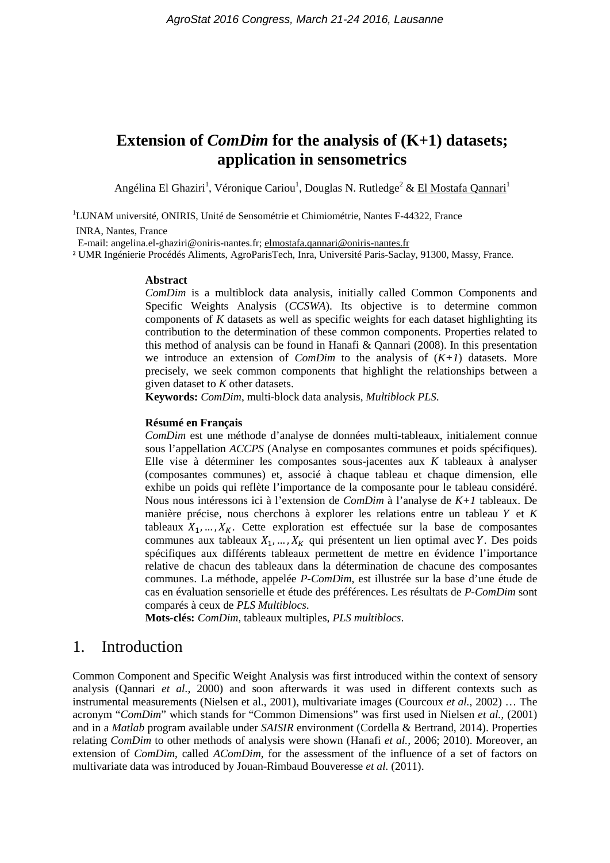# **Extension of** *ComDim* **for the analysis of (K+1) datasets; application in sensometrics**

Angélina El Ghaziri<sup>1</sup>, Véronique Cariou<sup>1</sup>, Douglas N. Rutledge<sup>2</sup> & El Mostafa Qannari<sup>1</sup>

<sup>1</sup>LUNAM université, ONIRIS, Unité de Sensométrie et Chimiométrie, Nantes F-44322, France

INRA, Nantes, France

E-mail: [angelina.el-ghaziri@oniris-nantes.fr;](mailto:angelina.el-ghaziri@oniris-nantes.fr) [elmostafa.qannari@oniris-nantes.fr](mailto:elmostafa.qannari@oniris-nantes.fr)

² UMR Ingénierie Procédés Aliments, AgroParisTech, Inra, Université Paris-Saclay, 91300, Massy, France.

#### **Abstract**

*ComDim* is a multiblock data analysis, initially called Common Components and Specific Weights Analysis (*CCSWA*). Its objective is to determine common components of *K* datasets as well as specific weights for each dataset highlighting its contribution to the determination of these common components. Properties related to this method of analysis can be found in Hanafi & Qannari (2008). In this presentation we introduce an extension of *ComDim* to the analysis of (*K+1*) datasets. More precisely, we seek common components that highlight the relationships between a given dataset to *K* other datasets.

**Keywords:** *ComDim*, multi-block data analysis, *Multiblock PLS*.

#### **Résumé en Français**

*ComDim* est une méthode d'analyse de données multi-tableaux, initialement connue sous l'appellation *ACCPS* (Analyse en composantes communes et poids spécifiques). Elle vise à déterminer les composantes sous-jacentes aux *K* tableaux à analyser (composantes communes) et, associé à chaque tableau et chaque dimension, elle exhibe un poids qui reflète l'importance de la composante pour le tableau considéré. Nous nous intéressons ici à l'extension de *ComDim* à l'analyse de *K+1* tableaux. De manière précise, nous cherchons à explorer les relations entre un tableau  $Y$  et  $K$ tableaux  $X_1, \ldots, X_K$ . Cette exploration est effectuée sur la base de composantes communes aux tableaux  $X_1, ..., X_K$  qui présentent un lien optimal avec Y. Des poids spécifiques aux différents tableaux permettent de mettre en évidence l'importance relative de chacun des tableaux dans la détermination de chacune des composantes communes. La méthode, appelée *P-ComDim*, est illustrée sur la base d'une étude de cas en évaluation sensorielle et étude des préférences. Les résultats de *P-ComDim* sont comparés à ceux de *PLS Multiblocs*.

**Mots-clés:** *ComDim*, tableaux multiples, *PLS multiblocs*.

## 1. Introduction

Common Component and Specific Weight Analysis was first introduced within the context of sensory analysis (Qannari *et al.*, 2000) and soon afterwards it was used in different contexts such as instrumental measurements (Nielsen et al., 2001), multivariate images (Courcoux *et al.*, 2002) … The acronym "*ComDim*" which stands for "Common Dimensions" was first used in Nielsen *et al.*, (2001) and in a *Matlab* program available under *SAISIR* environment (Cordella & Bertrand, 2014). Properties relating *ComDim* to other methods of analysis were shown (Hanafi *et al.,* 2006; 2010). Moreover, an extension of *ComDim*, called *AComDim*, for the assessment of the influence of a set of factors on multivariate data was introduced by Jouan-Rimbaud Bouveresse *et al.* (2011).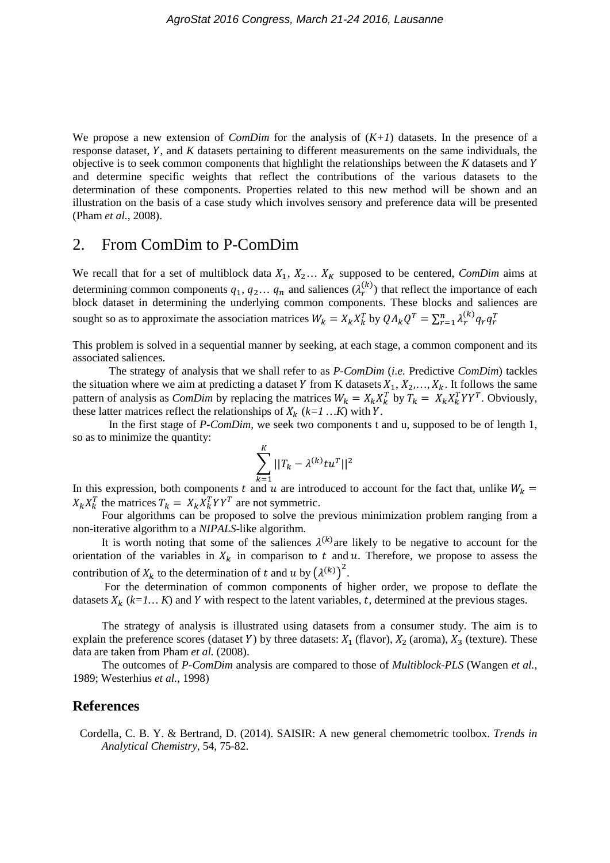We propose a new extension of *ComDim* for the analysis of (*K+1*) datasets. In the presence of a response dataset, Y, and K datasets pertaining to different measurements on the same individuals, the objective is to seek common components that highlight the relationships between the *K* datasets and and determine specific weights that reflect the contributions of the various datasets to the determination of these components. Properties related to this new method will be shown and an illustration on the basis of a case study which involves sensory and preference data will be presented (Pham *et al.*, 2008).

### 2. From ComDim to P-ComDim

We recall that for a set of multiblock data  $X_1, X_2, \ldots, X_k$  supposed to be centered, *ComDim* aims at determining common components  $q_1, q_2, \ldots, q_n$  and saliences  $(\lambda_r^{(k)})$  that reflect the importance of each block dataset in determining the underlying common components. These blocks and saliences are sought so as to approximate the association matrices  $W_k = X_k X_k^T$  by  $Q \Lambda_k Q^T = \sum_{r=1}^n \lambda_r^{(k)} q_r q_r^T$ 

This problem is solved in a sequential manner by seeking, at each stage, a common component and its associated saliences.

The strategy of analysis that we shall refer to as *P-ComDim* (*i.e.* Predictive *ComDim*) tackles the situation where we aim at predicting a dataset Y from K datasets  $X_1, X_2, \ldots, X_k$ . It follows the same pattern of analysis as *ComDim* by replacing the matrices  $W_k = X_k X_k^T$  by  $T_k = X_k X_k^T Y Y^T$ . Obviously, these latter matrices reflect the relationships of  $X_k$  ( $k=1...K$ ) with Y.

In the first stage of *P-ComDim*, we seek two components t and u, supposed to be of length 1, so as to minimize the quantity:

$$
\sum_{k=1}^K ||T_k - \lambda^{(k)} t u^T||^2
$$

In this expression, both components t and u are introduced to account for the fact that, unlike  $W_k =$  $X_k X_k^T$  the matrices  $T_k = X_k X_k^T Y Y^T$  are not symmetric.

Four algorithms can be proposed to solve the previous minimization problem ranging from a non-iterative algorithm to a *NIPALS*-like algorithm.

It is worth noting that some of the saliences  $\lambda^{(k)}$  are likely to be negative to account for the orientation of the variables in  $X_k$  in comparison to t and u. Therefore, we propose to assess the contribution of  $X_k$  to the determination of t and u by  $(\lambda^{(k)})^2$ .

For the determination of common components of higher order, we propose to deflate the datasets  $X_k$  ( $k=1...$  *K*) and *Y* with respect to the latent variables, t, determined at the previous stages.

The strategy of analysis is illustrated using datasets from a consumer study. The aim is to explain the preference scores (dataset Y) by three datasets:  $X_1$  (flavor),  $X_2$  (aroma),  $X_3$  (texture). These data are taken from Pham *et al.* (2008).

The outcomes of *P-ComDim* analysis are compared to those of *Multiblock-PLS* (Wangen *et al.*, 1989; Westerhius *et al.*, 1998)

### **References**

Cordella, C. B. Y. & Bertrand, D. (2014). SAISIR: A new general chemometric toolbox. *Trends in Analytical Chemistry,* 54, 75-82.